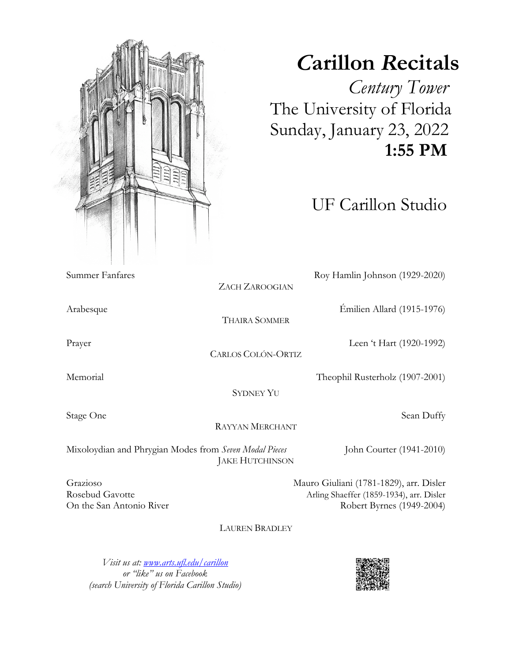

## *C***arillon** *R***ecitals**

 *Century Tower* The University of Florida Sunday, January 23, 2022  **1:55 PM**

UF Carillon Studio

| Summer Fanfares                                                                  |                           | Roy Hamlin Johnson (1929-2020)           |
|----------------------------------------------------------------------------------|---------------------------|------------------------------------------|
|                                                                                  | <b>ZACH ZAROOGIAN</b>     |                                          |
| Arabesque                                                                        |                           | Emilien Allard (1915-1976)               |
|                                                                                  | <b>THAIRA SOMMER</b>      |                                          |
| Prayer                                                                           |                           | Leen 't Hart (1920-1992)                 |
|                                                                                  | <b>CARLOS COLÓN-ORTIZ</b> |                                          |
| Memorial                                                                         |                           | Theophil Rusterholz (1907-2001)          |
|                                                                                  | <b>SYDNEY YU</b>          |                                          |
| Stage One                                                                        |                           | Sean Duffy                               |
|                                                                                  | <b>RAYYAN MERCHANT</b>    |                                          |
| Mixoloydian and Phrygian Modes from Seven Modal Pieces<br><b>JAKE HUTCHINSON</b> |                           | John Courter (1941-2010)                 |
| Grazioso                                                                         |                           | Mauro Giuliani (1781-1829), arr. Disler  |
| Rosebud Gavotte                                                                  |                           | Arling Shaeffer (1859-1934), arr. Disler |
| On the San Antonio River                                                         |                           | Robert Byrnes (1949-2004)                |
|                                                                                  | <b>LAUREN BRADLEY</b>     |                                          |

*Visit us at: www.arts.ufl.edu/carillon or "like" us on Facebook (search University of Florida Carillon Studio)*